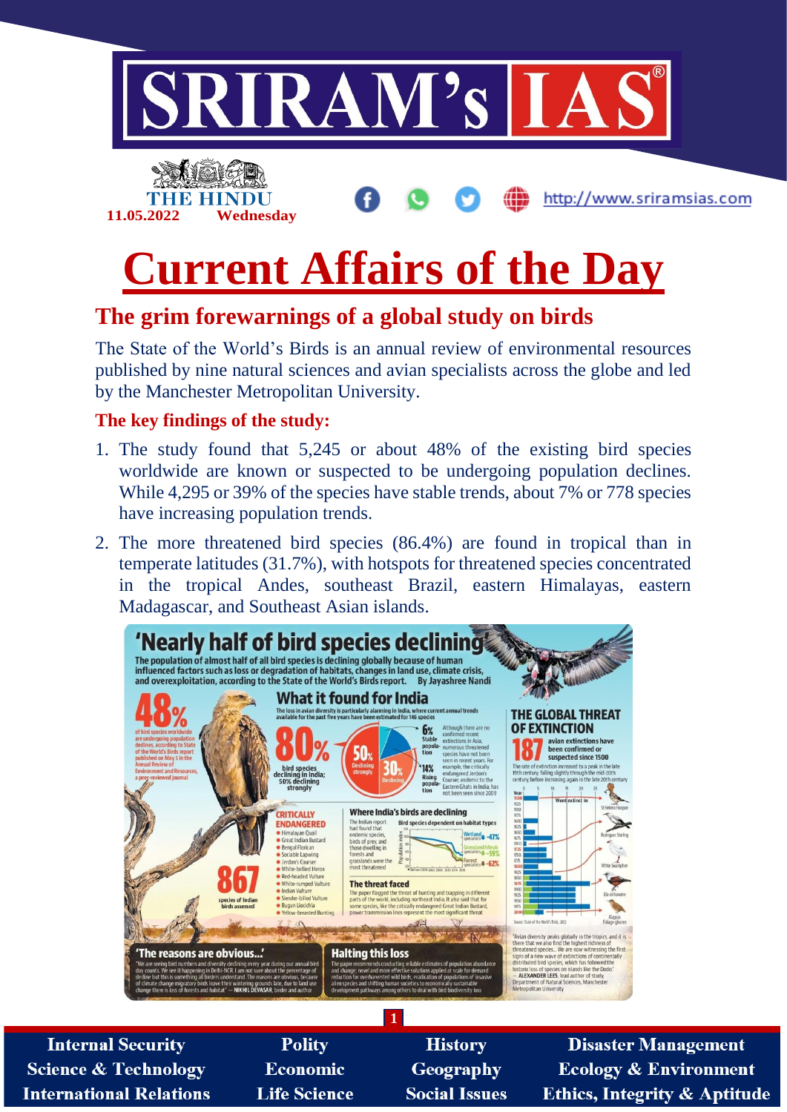

# **Current Affairs of the Day**

# **The grim forewarnings of a global study on birds**

The State of the World's Birds is an annual review of environmental resources published by nine natural sciences and avian specialists across the globe and led by the Manchester Metropolitan University.

#### **The key findings of the study:**

- 1. The study found that 5,245 or about 48% of the existing bird species worldwide are known or suspected to be undergoing population declines. While 4,295 or 39% of the species have stable trends, about 7% or 778 species have increasing population trends.
- 2. The more threatened bird species (86.4%) are found in tropical than in temperate latitudes (31.7%), with hotspots for threatened species concentrated in the tropical Andes, southeast Brazil, eastern Himalayas, eastern Madagascar, and Southeast Asian islands.



**Internal Security Science & Technology International Relations** 

**Polity Economic Life Science** 

**History** Geography **Social Issues** 

**Disaster Management Ecology & Environment Ethics, Integrity & Aptitude**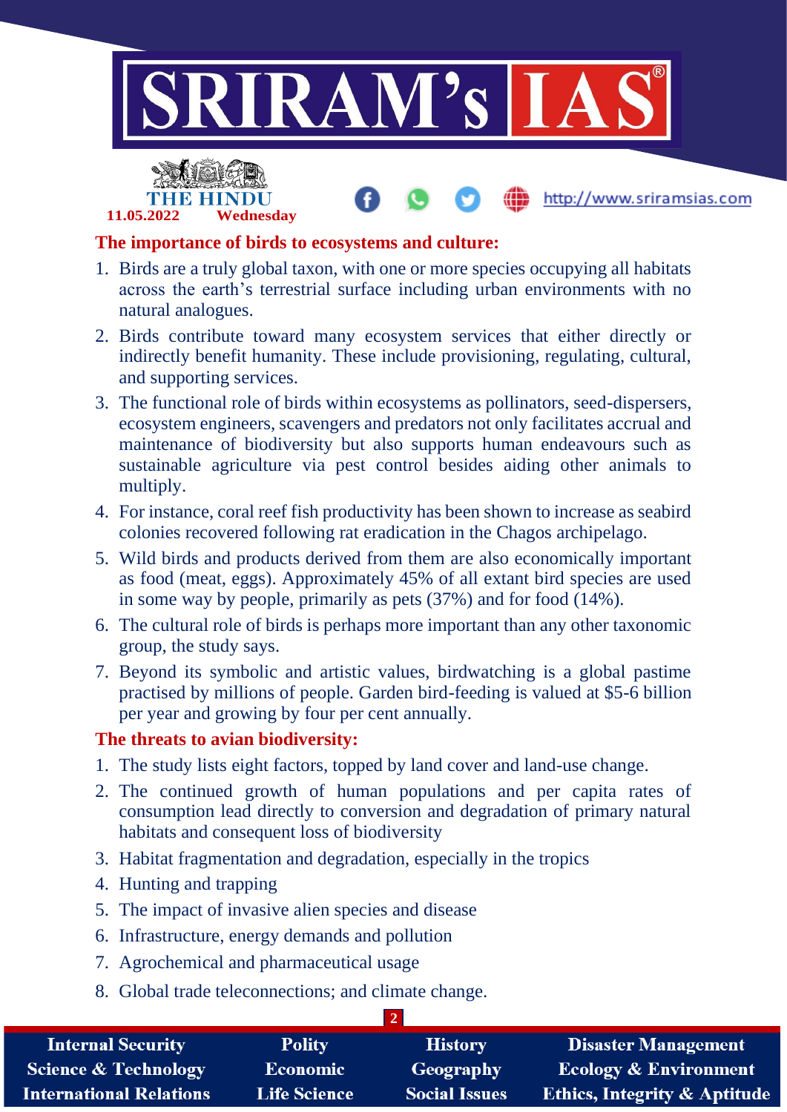

http://www.sriramsias.com



#### **The importance of birds to ecosystems and culture:**

- 1. Birds are a truly global taxon, with one or more species occupying all habitats across the earth's terrestrial surface including urban environments with no natural analogues.
- 2. Birds contribute toward many ecosystem services that either directly or indirectly benefit humanity. These include provisioning, regulating, cultural, and supporting services.
- 3. The functional role of birds within ecosystems as pollinators, seed-dispersers, ecosystem engineers, scavengers and predators not only facilitates accrual and maintenance of biodiversity but also supports human endeavours such as sustainable agriculture via pest control besides aiding other animals to multiply.
- 4. For instance, coral reef fish productivity has been shown to increase as seabird colonies recovered following rat eradication in the Chagos archipelago.
- 5. Wild birds and products derived from them are also economically important as food (meat, eggs). Approximately 45% of all extant bird species are used in some way by people, primarily as pets (37%) and for food (14%).
- 6. The cultural role of birds is perhaps more important than any other taxonomic group, the study says.
- 7. Beyond its symbolic and artistic values, birdwatching is a global pastime practised by millions of people. Garden bird-feeding is valued at \$5-6 billion per year and growing by four per cent annually.

#### **The threats to avian biodiversity:**

- 1. The study lists eight factors, topped by land cover and land-use change.
- 2. The continued growth of human populations and per capita rates of consumption lead directly to conversion and degradation of primary natural habitats and consequent loss of biodiversity
- 3. Habitat fragmentation and degradation, especially in the tropics
- 4. Hunting and trapping
- 5. The impact of invasive alien species and disease
- 6. Infrastructure, energy demands and pollution
- 7. Agrochemical and pharmaceutical usage
- 8. Global trade teleconnections; and climate change.

| <b>Internal Security</b>        | <b>Polity</b>       | <b>History</b>       | <b>Disaster Management</b>              |  |  |
|---------------------------------|---------------------|----------------------|-----------------------------------------|--|--|
| <b>Science &amp; Technology</b> | <b>Economic</b>     | Geography            | <b>Ecology &amp; Environment</b>        |  |  |
| <b>International Relations</b>  | <b>Life Science</b> | <b>Social Issues</b> | <b>Ethics, Integrity &amp; Aptitude</b> |  |  |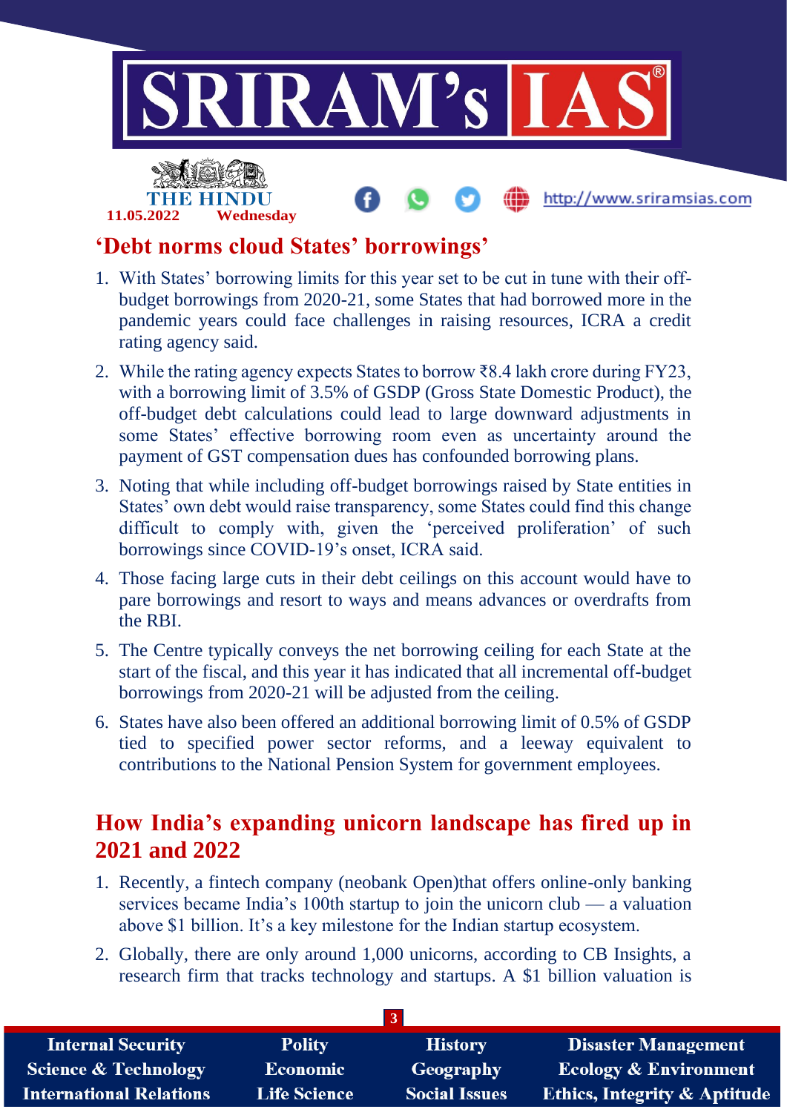

### **'Debt norms cloud States' borrowings'**

**11.05.2022 Wednesday**

- 1. With States' borrowing limits for this year set to be cut in tune with their offbudget borrowings from 2020-21, some States that had borrowed more in the pandemic years could face challenges in raising resources, ICRA a credit rating agency said.
- 2. While the rating agency expects States to borrow ₹8.4 lakh crore during FY23, with a borrowing limit of 3.5% of GSDP (Gross State Domestic Product), the off-budget debt calculations could lead to large downward adjustments in some States' effective borrowing room even as uncertainty around the payment of GST compensation dues has confounded borrowing plans.
- 3. Noting that while including off-budget borrowings raised by State entities in States' own debt would raise transparency, some States could find this change difficult to comply with, given the 'perceived proliferation' of such borrowings since COVID-19's onset, ICRA said.
- 4. Those facing large cuts in their debt ceilings on this account would have to pare borrowings and resort to ways and means advances or overdrafts from the RBI.
- 5. The Centre typically conveys the net borrowing ceiling for each State at the start of the fiscal, and this year it has indicated that all incremental off-budget borrowings from 2020-21 will be adjusted from the ceiling.
- 6. States have also been offered an additional borrowing limit of 0.5% of GSDP tied to specified power sector reforms, and a leeway equivalent to contributions to the National Pension System for government employees.

## **How India's expanding unicorn landscape has fired up in 2021 and 2022**

- 1. Recently, a fintech company (neobank Open)that offers online-only banking services became India's 100th startup to join the unicorn club — a valuation above \$1 billion. It's a key milestone for the Indian startup ecosystem.
- 2. Globally, there are only around 1,000 unicorns, according to CB Insights, a research firm that tracks technology and startups. A \$1 billion valuation is

| <b>Internal Security</b>        | <b>Polity</b>       | <b>History</b>       | <b>Disaster Management</b>              |  |  |
|---------------------------------|---------------------|----------------------|-----------------------------------------|--|--|
| <b>Science &amp; Technology</b> | <b>Economic</b>     | Geography            | <b>Ecology &amp; Environment</b>        |  |  |
| <b>International Relations</b>  | <b>Life Science</b> | <b>Social Issues</b> | <b>Ethics, Integrity &amp; Aptitude</b> |  |  |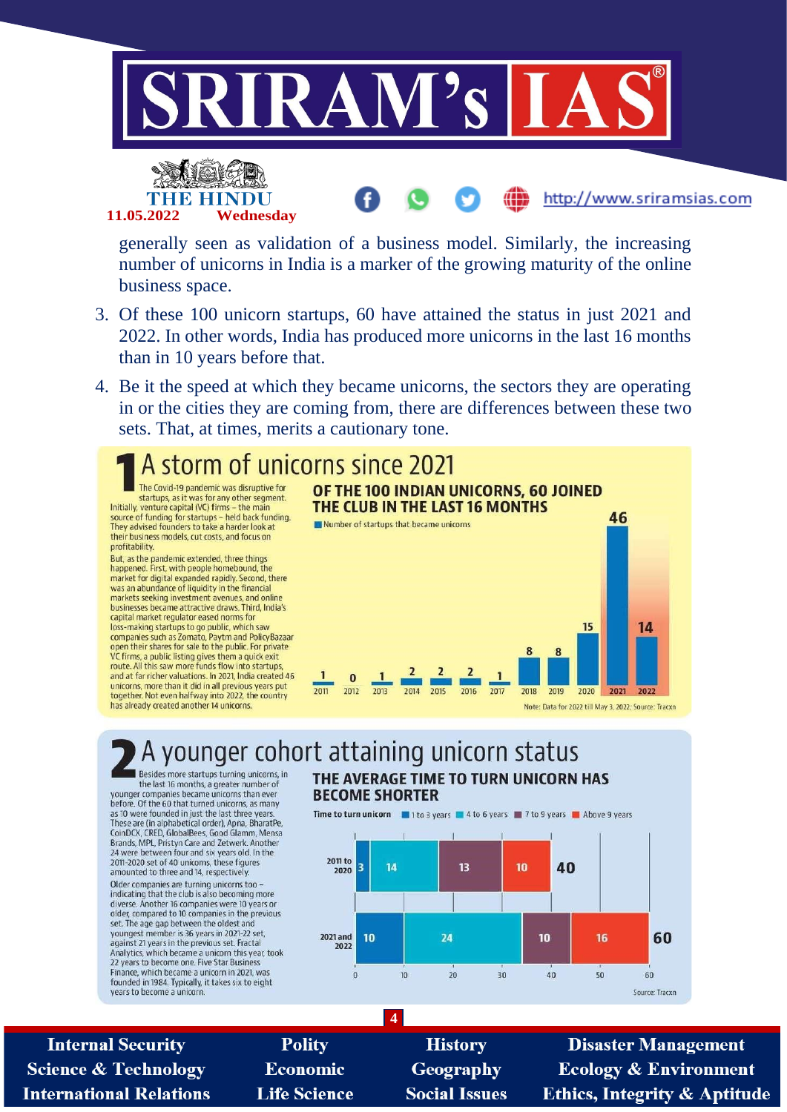



generally seen as validation of a business model. Similarly, the increasing number of unicorns in India is a marker of the growing maturity of the online business space.

- 3. Of these 100 unicorn startups, 60 have attained the status in just 2021 and 2022. In other words, India has produced more unicorns in the last 16 months than in 10 years before that.
- 4. Be it the speed at which they became unicorns, the sectors they are operating in or the cities they are coming from, there are differences between these two sets. That, at times, merits a cautionary tone.



#### younger cohort attaining unicorn status Besides more startups turning unicorns, in THE AVERAGE TIME TO TURN UNICORN HAS

the last 16 months, a greater number of vounger companies became unicorns than ever before. Of the 60 that turned unicorns, as many as 10 were founded in just the last three years These are (in alphabetical order), Apna, BharatPe, CoinDCX, CRED, GlobalBees, Good Glamm, Mensa<br>Brands, MPL, Pristyn Care and Zetwerk. Another 24 were between four and six years old. In the 2011-2020 set of 40 unicorns, these figures amounted to three and 14, respectively. Older companies are turning unicorns too -<br>indicating that the club is also becoming more diverse. Another 16 companies were 10 years or older, compared to 10 companies in the previous<br>set. The age gap between the oldest and youngest member is 36 years in 2021-22 set, against 21 years in the previous set. Fractal<br>Analytics, which became a unicorn this year, took 22 years to become one. Five Star Business Finance, which became a unicorn in 2021, was founded in 1984. Typically, it takes six to eight years to become a unicorn





**Internal Security Science & Technology International Relations** 

**Polity** Economic **Life Science** 

**History** Geography **Social Issues** 

**4**

**Disaster Management Ecology & Environment Ethics, Integrity & Aptitude** 

http://www.sriramsias.com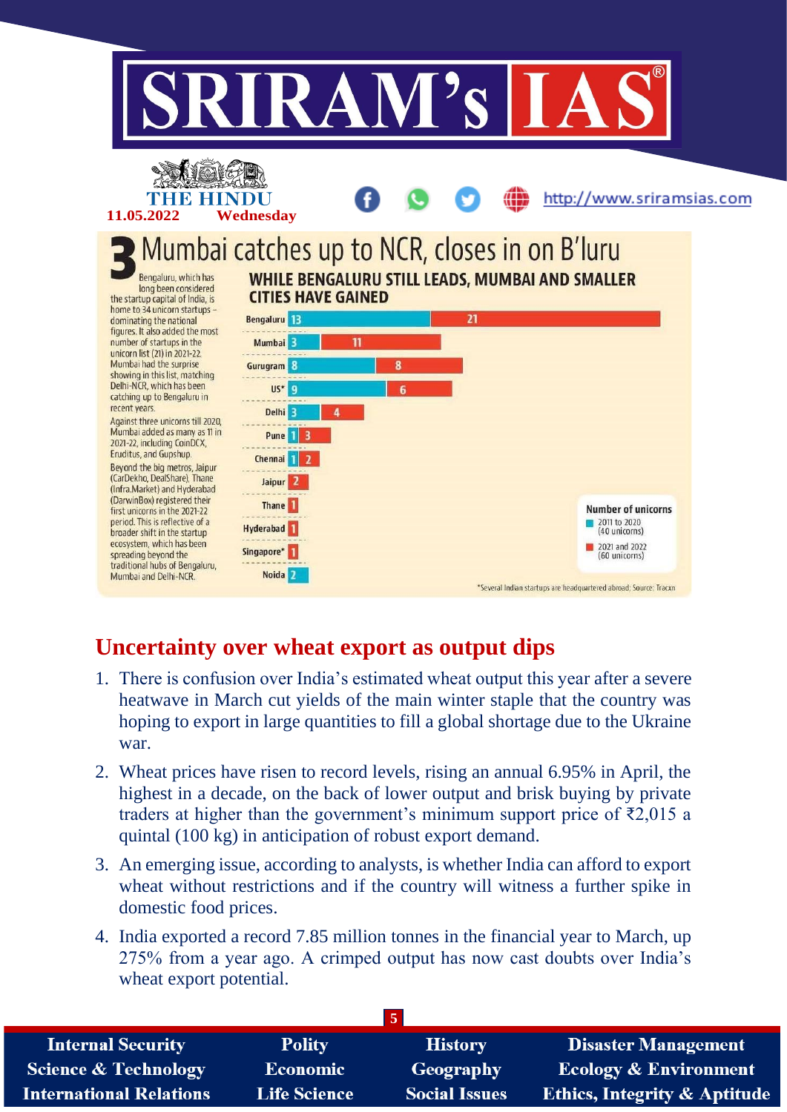

# **Uncertainty over wheat export as output dips**

- 1. There is confusion over India's estimated wheat output this year after a severe heatwave in March cut yields of the main winter staple that the country was hoping to export in large quantities to fill a global shortage due to the Ukraine war.
- 2. Wheat prices have risen to record levels, rising an annual 6.95% in April, the highest in a decade, on the back of lower output and brisk buying by private traders at higher than the government's minimum support price of  $\bar{\epsilon}2,015$  a quintal (100 kg) in anticipation of robust export demand.
- 3. An emerging issue, according to analysts, is whether India can afford to export wheat without restrictions and if the country will witness a further spike in domestic food prices.
- 4. India exported a record 7.85 million tonnes in the financial year to March, up 275% from a year ago. A crimped output has now cast doubts over India's wheat export potential.

| <b>Internal Security</b>        | <b>Polity</b>       | <b>History</b>       | <b>Disaster Management</b>              |
|---------------------------------|---------------------|----------------------|-----------------------------------------|
| <b>Science &amp; Technology</b> | <b>Economic</b>     | Geography            | <b>Ecology &amp; Environment</b>        |
| <b>International Relations</b>  | <b>Life Science</b> | <b>Social Issues</b> | <b>Ethics, Integrity &amp; Aptitude</b> |